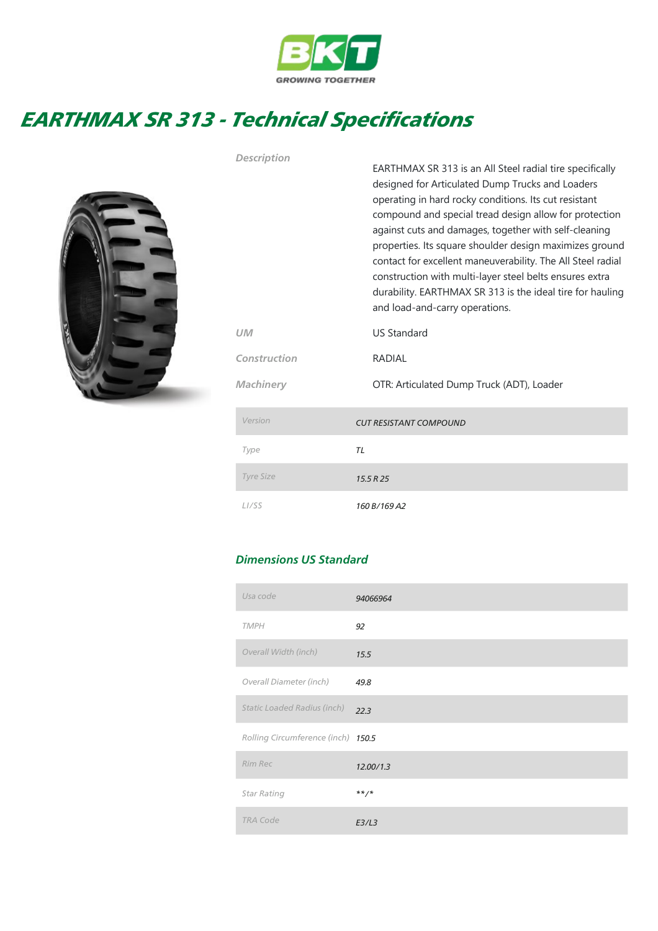

## EARTHMAX SR 313 - Technical Specifications

Description



|                  | EARTHMAX SR 313 is an All Steel radial tire specifically<br>designed for Articulated Dump Trucks and Loaders<br>operating in hard rocky conditions. Its cut resistant<br>compound and special tread design allow for protection<br>against cuts and damages, together with self-cleaning<br>properties. Its square shoulder design maximizes ground<br>contact for excellent maneuverability. The All Steel radial<br>construction with multi-layer steel belts ensures extra<br>durability. EARTHMAX SR 313 is the ideal tire for hauling<br>and load-and-carry operations. |
|------------------|------------------------------------------------------------------------------------------------------------------------------------------------------------------------------------------------------------------------------------------------------------------------------------------------------------------------------------------------------------------------------------------------------------------------------------------------------------------------------------------------------------------------------------------------------------------------------|
| UM               | <b>US Standard</b>                                                                                                                                                                                                                                                                                                                                                                                                                                                                                                                                                           |
| Construction     | <b>RADIAL</b>                                                                                                                                                                                                                                                                                                                                                                                                                                                                                                                                                                |
| Machinery        | OTR: Articulated Dump Truck (ADT), Loader                                                                                                                                                                                                                                                                                                                                                                                                                                                                                                                                    |
| Version          | <b>CUT RESISTANT COMPOUND</b>                                                                                                                                                                                                                                                                                                                                                                                                                                                                                                                                                |
| Type             | <b>TL</b>                                                                                                                                                                                                                                                                                                                                                                                                                                                                                                                                                                    |
| <b>Tyre Size</b> | 15.5 R 25                                                                                                                                                                                                                                                                                                                                                                                                                                                                                                                                                                    |
| LI/SS            | 160 B/169 A2                                                                                                                                                                                                                                                                                                                                                                                                                                                                                                                                                                 |

## Dimensions US Standard

| Usa code                           | 94066964  |
|------------------------------------|-----------|
| <b>TMPH</b>                        | 92        |
| Overall Width (inch)               | 15.5      |
| Overall Diameter (inch)            | 49.8      |
| <b>Static Loaded Radius (inch)</b> | 22.3      |
| Rolling Circumference (inch) 150.5 |           |
| Rim Rec                            | 12.00/1.3 |
| <b>Star Rating</b>                 | $***$ /*  |
| <b>TRA Code</b>                    | E3/L3     |